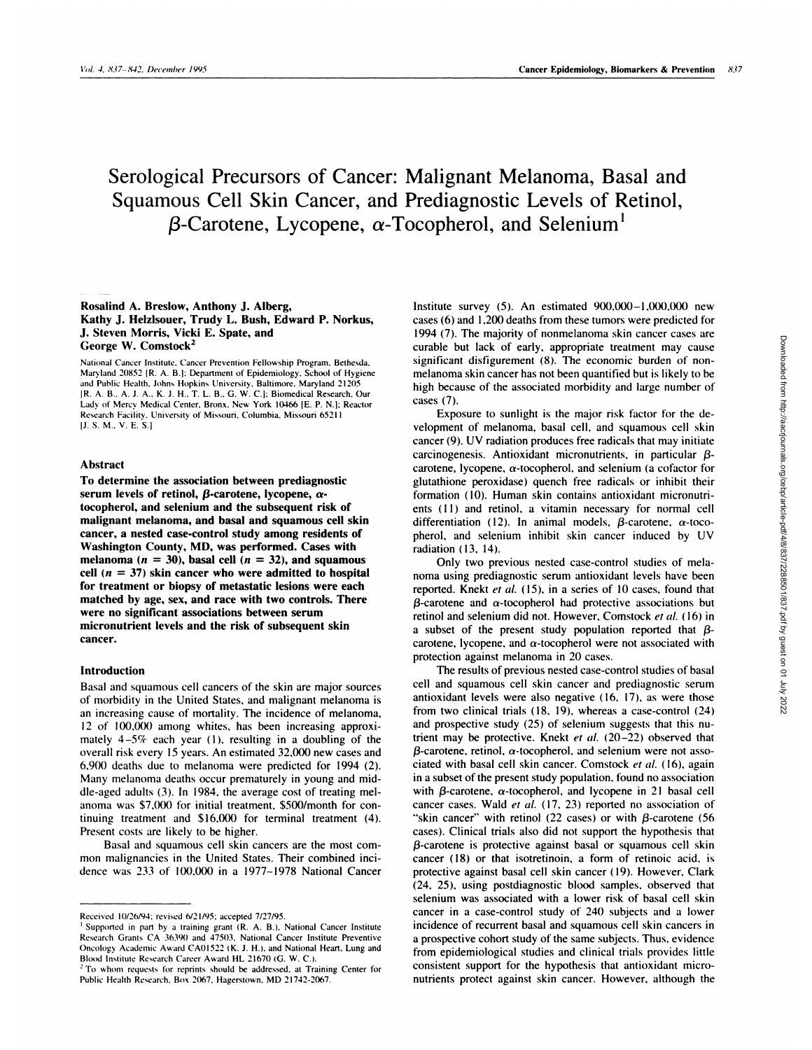# Serological Precursors of Cancer: Malignant Melanoma, Basal and Squamous Cell Skin Cancer, and Prediagnostic Levels of Retinol,  $\beta$ -Carotene, Lycopene,  $\alpha$ -Tocopherol, and Selenium<sup>1</sup>

## **Rosalind A. Bresbow, Anthony J. Alberg, Kathy J. Helzlsouer, Trudy L. Bush, Edward P. Norkus, J. Steven Morris, Vicki E. Spate, and George W. Comstock2**

National Cancer Institute. Cancer Prevention Fellowship Program. Bethesda. Maryland 20852 IR. A. B.1: Department of Epidemiology. School of Hygiene and Public Health, Johns Hopkins University, Baltimore, Maryland 21205 IR. A. B.. A. J. A.. K. J. H.. T. L. B.. G. W. C.j: Biomedical Research. Our Lady of Mercy Medical Center, Bronx. New York 10466 [E. P. N.]; Reactor Research Facility. University of Missouri. Columbia. Missouri 6521 1 **IJ.** S. M.. V. E. 5.1

## **Abstract**

**To determine the association between prediagnostic serum bevels of retinol, a-carotene, lycopene, atocopherol, and selenium and the subsequent risk of malignant melanoma, and basal and squamous cell skin cancer, a nested case-control study among residents of Washington County, MD,** was performed. Cases with melanoma  $(n = 30)$ , basal cell  $(n = 32)$ , and squamous **cell** ( $n = 37$ ) skin cancer who were admitted to hospital **for treatment or biopsy of metastatic lesions were each matched by age, sex, and race with two controls. There were no significant associations between serum micronutrient levels and the risk of subsequent skin cancer.**

## **Introduction**

Basal and squamous cell cancers of the skin are major sources of morbidity in the United States, and malignant melanoma is an increasing cause of mortality. The incidence of melanoma, 12 of 100,000 among whites, has been increasing approximately  $4-5\%$  each year (1), resulting in a doubling of the overall risk every 15 years. An estimated 32,000 new cases and 6,900 deaths due to melanoma were predicted for 1994 (2). Many melanoma deaths occur prematurely in young and middle-aged adults (3). In 1984, the average cost of treating mel anoma was \$7,000 for initial treatment, \$500/month for continuing treatment and \$16,000 for terminal treatment (4). Present costs are likely to be higher.

Basal and squamous cell skin cancers are the most com mon malignancies in the United States. Their combined mcidence was 233 of 100,000 in a 1977-1978 National Cancer

Institute survey *(5).* An estimated 900,000-I ,000,000 new cases (6) and 1.200 deaths from these tumors were predicted for 1994 (7). The majority of nonmelanoma skin cancer cases are curable but lack of early, appropriate treatment may cause significant disfigurement (8). The economic burden of non melanoma skin cancer has not been quantified but is likely to be **high** because of the associated morbidity and large number of cases (7).

Exposure to sunlight is the major risk factor for the development of melanoma, basal cell, and squamous cell skin cancer (9). UV radiation produces free radicals that may initiate carcinogenesis. Antioxidant micronutrients, in particular  $\beta$ carotene, lycopene,  $\alpha$ -tocopherol, and selenium (a cofactor for glutathione peroxidase) quench free radicals or inhibit their formation ( 10). Human skin contains antioxidant micronutri ents (11) and retinol, a vitamin necessary for normal cell differentiation (12). In animal models,  $\beta$ -carotene,  $\alpha$ -tocopherol, and selenium inhibit skin cancer induced by UV radiation (13, 14).

Only two previous nested case-control studies of mela noma using prediagnostic serum antioxidant levels have been reported. Knekt et al. (15), in a series of 10 cases, found that  $\beta$ -carotene and  $\alpha$ -tocopherol had protective associations but retinol and selenium did not. However, Comstock *et a!. (* I 6) in a subset of the present study population reported that  $\beta$ carotene, lycopene, and  $\alpha$ -tocopherol were not associated with protection against melanoma in 20 cases.

The results of previous nested case-control studies of basal cell and squamous cell skin cancer and prediagnostic serum antioxidant levels were also negative (16, 17), as were those from two clinical trials (18, 19), whereas a case-control (24) and prospective study (25) of selenium suggests that this nutrient may be protective. Knekt *ci' a!.* **(20-22)** observed that  $\beta$ -carotene, retinol,  $\alpha$ -tocopherol, and selenium were not associated with basal cell skin cancer. Comstock et al. (16), again in a subset of the present study population, found no association with  $\beta$ -carotene,  $\alpha$ -tocopherol, and lycopene in 21 basal cell cancer cases. Wald *et a!.* **(17, 23)** reported no association of "skin cancer" with retinol (22 cases) or with  $\beta$ -carotene (56 cases). Clinical trials also did not support the hypothesis that  $\beta$ -carotene is protective against basal or squamous cell skin cancer (18) or that isotretinoin, a form of retinoic acid, is protective against basal cell skin cancer ( 19). However, Clark **(24, 25),** using postdiagnostic blood samples, observed that selenium was associated with a lower risk of basal cell skin cancer in a case-control study of 240 subjects and a lower incidence of recurrent basal and squamous cell skin cancers in a prospective cohort study of the same subjects. Thus, evidence from epidemiobogical studies and clinical trials provides little consistent support for the hypothesis that antioxidant micronutrients protect against skin cancer. However, although the

Received 10/26/94: revised 6/21/95: accepted 7/27/95.

**<sup>i</sup>** Supported in part by a training grant (R. A. B.). National Cancer Institute Research Grants CA 36390 and 47503. National Cancer Institute Preventive Oncology Academic Award CA01522 (K. J. H.). and National Heart. Lung and Blood Institute Research Career Award HL 21670 (G. W. C.).

<sup>&</sup>lt;sup>2</sup> To whom requests for reprints should be addressed, at Training Center for Public Health Research. Box 2067. Hagerstown. MD 21742-2067.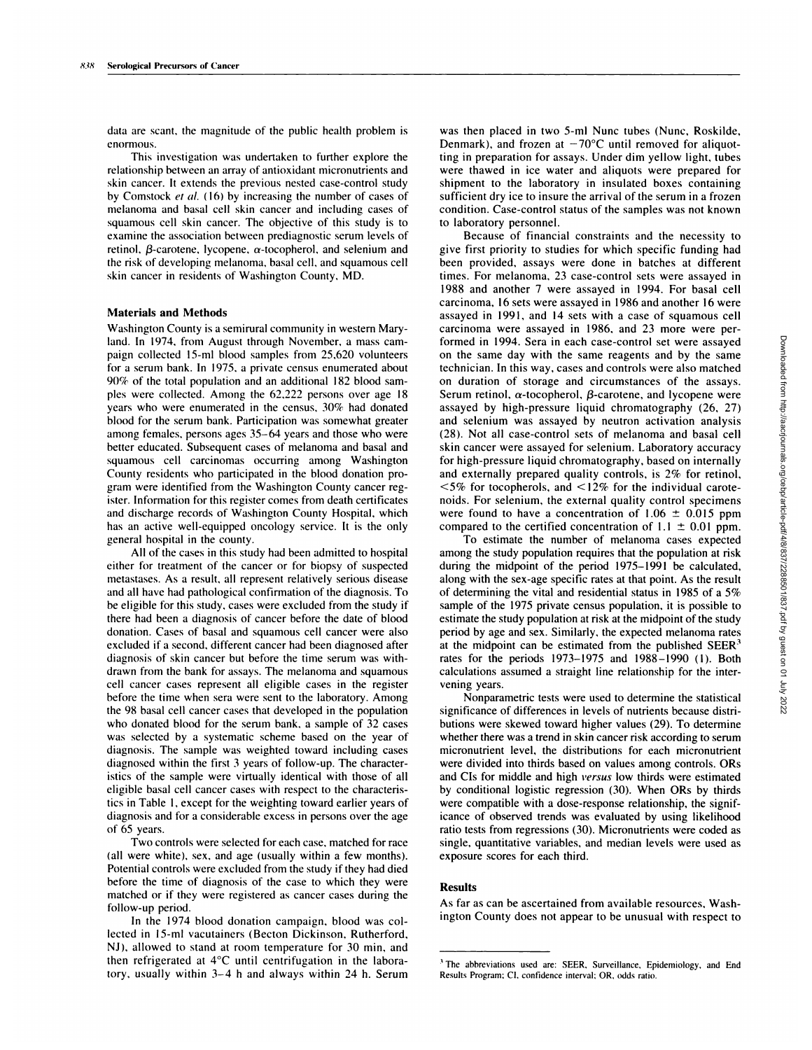data are scant, the magnitude of the public health problem is enormous.

This investigation was undertaken to further explore the relationship between an array of antioxidant micronutrients and skin cancer. It extends the previous nested case-control study **by** Comstock *et a!.* (16) by increasing the number of cases of melanoma and basal cell skin cancer and including cases of squamous cell skin cancer. The objective of this study is to examine the association between prediagnostic serum levels of retinol,  $\beta$ -carotene, lycopene,  $\alpha$ -tocopherol, and selenium and the risk of developing melanoma, basal cell, and squamous cell skin cancer in residents of Washington County, MD.

# **Materials and Methods**

Washington County is a semirural community in western Maryland. In 1974, from August through November, a mass cam paign collected l5-ml blood samples from 25,620 volunteers for a seruni bank. In 1975, a private census enumerated about 90% of the total population and an additional 182 blood samples were collected. Among the 62,222 persons over age 18 years who were enumerated in the census, 30% had donated blood for the serum bank. Participation was somewhat greater among females, persons ages 35-64 years and those who were better educated. Subsequent cases of melanoma and basal and squamous cell carcinomas occurring among Washington County residents who participated in the blood donation program were identified from the Washington County cancer register. Information for this register comes from death certificates and discharge records of Washington County Hospital, which has an active well-equipped oncology service. It is the only general hospital in the county.

All of the cases in this study had been admitted to hospital either for treatment of the cancer or for biopsy of suspected metastases. As a result, all represent relatively serious disease and all have had pathological confirmation of the diagnosis. To be eligible for this study, cases were excluded from the study if there had been a diagnosis of cancer before the date of blood donation. Cases of basal and squamous cell cancer were also excluded if a second, different cancer had been diagnosed after diagnosis of skin cancer but before the time serum was withdrawn from the bank for assays. The melanoma and squamous cell cancer cases represent all eligible cases in the register before the time when sera were sent to the laboratory. Among the 98 basal cell cancer cases that developed in the population who donated blood for the serum bank, a sample of 32 cases was selected by a systematic scheme based on the year of diagnosis. The sample was weighted toward including cases diagnosed within the first 3 years of follow-up. The characteristics of the sample were virtually identical with those of all eligible basal cell cancer cases with respect to the characteristics in Table 1, except for the weighting toward earlier years of diagnosis and for a considerable excess in persons over the age of 65 years.

Two controls were selected for each case, matched for race (all were white), sex, and age (usually within a few months). Potential controls were excluded from the study if they had died before the time of diagnosis of the case to which they were matched or if they were registered as cancer cases during the follow-up period.

In the 1974 blood donation campaign, blood was collected in 15-ml vacutainers (Becton Dickinson, Rutherford, NJ), allowed to stand at room temperature for 30 min, and then refrigerated at  $4^{\circ}C$  until centrifugation in the laboratory, usually within 3-4 h and always within 24 h. Serum was then placed in two 5-ml Nunc tubes (Nunc, Roskilde, Denmark), and frozen at  $-70^{\circ}$ C until removed for aliquotting in preparation for assays. Under dim yellow light, tubes were thawed in ice water and aliquots were prepared for shipment to the laboratory in insulated boxes containing sufficient dry ice to insure the arrival of the serum in a frozen condition. Case-control status of the samples was not known to laboratory personnel.

Because of financial constraints and the necessity to give first priority to studies for which specific funding had been provided, assays were done in batches at different times. For melanoma, 23 case-control sets were assayed in 1988 and another 7 were assayed in 1994. For basal cell carcinoma, 16 sets were assayed in 1986 and another 16 were assayed in 1991, and 14 sets with a case of squamous cell carcinoma were assayed in 1986, and 23 more were performed in 1994. Sera in each case-control set were assayed on the same day with the same reagents and by the same technician. In this way, cases and controls were also matched on duration of storage and circumstances of the assays. Serum retinol,  $\alpha$ -tocopherol,  $\beta$ -carotene, and lycopene were assayed by high-pressure liquid chromatography (26, **27)** and selenium was assayed by neutron activation analysis **(28).** Not all case-control sets of melanoma and basal cell skin cancer were assayed for selenium. Laboratory accuracy for high-pressure liquid chromatography, based on internally and externally prepared quality controls, is 2% for retinol,  $\leq$ 5% for tocopherols, and  $\leq$ 12% for the individual carotenoids. For selenium, the external quality control specimens formed in 1994. Sera in each case-control set were assayed<br>on the same again and by the same reagents and by the same<br>dechnician. In this way, cases and controls were also matched<br>on duration of storage and circumstances compared to the certified concentration of  $1.1 \pm 0.01$  ppm. formed in 1994. Seen in each case-control set were assayed<br>continuin. In this way, cases and controls were also matched<br>on duration of storage and criternationes of the assays.<br>Serum retinol,  $\alpha$ -tocopherol,  $\beta$ -caroten

To estimate the number of melanoma cases expected among the study population requires that the population at risk during the midpoint of the period 1975-1991 be calculated, along with the sex-age specific rates at that point. As the result of determining the vital and residential status in 1985 of a *5%* sample of the 1975 private census population, it is possible to estimate the study population at risk at the midpoint of the study period by age and sex. Similarly, the expected melanoma rates at the midpoint can be estimated from the published  $SEER<sup>3</sup>$ rates for the periods 1973-1975 and 1988-1990 (1). Both calculations assumed a straight line relationship for the intervening years.

Nonparametric tests were used to determine the statistical significance of differences in levels of nutrients because distributions were skewed toward higher values (29). To determine whether there was a trend in skin cancer risk according to serum micronutrient level, the distributions for each micronutrient were divided into thirds based on values among controls. ORs and CIs for middle and high *versus* bow thirds were estimated **by** conditional logistic regression (30). When ORs by thirds were compatible with a dose-response relationship, the significance of observed trends was evaluated by using likelihood ratio tests from regressions (30). Micronutrients were coded as single, quantitative variables, and median levels were used as exposure scores for each third.

#### **Results**

As far as can be ascertained from available resources, Wash-

**<sup>3</sup>** The abbreviations used are: SEER, Surveillance, Epidemiology, and End Results Program: Cl. confidence interval: OR, odds ratio.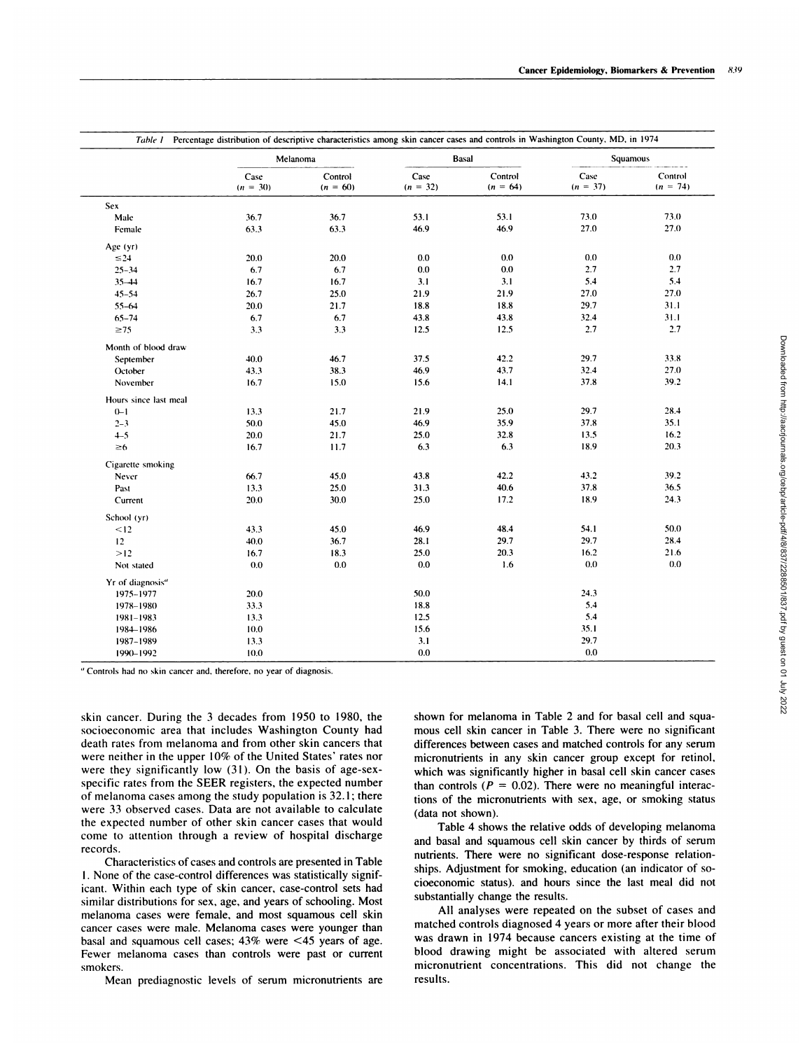|                              | Table 1 Percentage distribution of descriptive characteristics among skin cancer cases and controls in Washington County, MD, in 1974 |                       |                    |                       |                    |                       |  |
|------------------------------|---------------------------------------------------------------------------------------------------------------------------------------|-----------------------|--------------------|-----------------------|--------------------|-----------------------|--|
|                              |                                                                                                                                       | Melanoma              |                    | <b>Basal</b>          |                    | Squamous              |  |
|                              | Case<br>$(n = 30)$                                                                                                                    | Control<br>$(n = 60)$ | Case<br>$(n = 32)$ | Control<br>$(n = 64)$ | Case<br>$(n = 37)$ | Control<br>$(n = 74)$ |  |
| Sex                          |                                                                                                                                       |                       |                    |                       |                    |                       |  |
| Male                         | 36.7                                                                                                                                  | 36.7                  | 53.1               | 53.1                  | 73.0               | 73.0                  |  |
| Female                       | 63.3                                                                                                                                  | 63.3                  | 46.9               | 46.9                  | 27.0               | 27.0                  |  |
| Age (yr)                     |                                                                                                                                       |                       |                    |                       |                    |                       |  |
| $\leq 24$                    | 20.0                                                                                                                                  | 20.0                  | 0.0                | 0.0                   | 0.0                | 0.0                   |  |
| $25 - 34$                    | 6.7                                                                                                                                   | 6.7                   | 0.0                | 0.0                   | 2.7                | 2.7                   |  |
| $35 - 44$                    | 16.7                                                                                                                                  | 16.7                  | 3.1                | 3.1                   | 5.4                | 5.4                   |  |
| $45 - 54$                    | 26.7                                                                                                                                  | 25.0                  | 21.9               | 21.9                  | 27.0               | 27.0                  |  |
| $55 - 64$                    | 20.0                                                                                                                                  | 21.7                  | 188                | 18.8                  | 29.7               | 31.1                  |  |
| $65 - 74$                    | 6.7                                                                                                                                   | 6.7                   | 43.8               | 43.8                  | 32.4               | 31.1                  |  |
| $\geq 75$                    | 3.3                                                                                                                                   | 3.3                   | 12.5               | 12.5                  | 2.7                | 2.7                   |  |
| Month of blood draw          |                                                                                                                                       |                       |                    |                       |                    |                       |  |
| September                    | 40.0                                                                                                                                  | 46.7                  | 37.5               | 42.2                  | 29.7               | 33.8                  |  |
| October                      | 43.3                                                                                                                                  | 38.3                  | 46.9               | 43.7                  | 32.4               | 27.0                  |  |
| November                     | 16.7                                                                                                                                  | 15.0                  | 15.6               | 14.1                  | 37.8               | 39.2                  |  |
| Hours since last meal        |                                                                                                                                       |                       |                    |                       |                    |                       |  |
| $0 - 1$                      | 13.3                                                                                                                                  | 21.7                  | 21.9               | 25.0                  | 29.7               | 28.4                  |  |
| $2 - 3$                      | 50.0                                                                                                                                  | 45.0                  | 46.9               | 35.9                  | 37.8               | 35.1                  |  |
| $4 - 5$                      | 20.0                                                                                                                                  | 21.7                  | 25.0               | 32.8                  | 13.5               | 16.2                  |  |
| $\geq 6$                     | 16.7                                                                                                                                  | 11.7                  | 6.3                | 6.3                   | 18.9               | 20.3                  |  |
| Cigarette smoking            |                                                                                                                                       |                       |                    |                       |                    |                       |  |
| Never                        | 66.7                                                                                                                                  | 45.0                  | 43.8               | 42.2                  | 43.2               | 39.2                  |  |
| Past                         | 13.3                                                                                                                                  | 25.0                  | 31.3               | 40.6                  | 37.8               | 36.5                  |  |
| Current                      | 20.0                                                                                                                                  | 30.0                  | 25.0               | 17.2                  | 18.9               | 24.3                  |  |
| School (yr)                  |                                                                                                                                       |                       |                    |                       |                    |                       |  |
| < 12                         | 43.3                                                                                                                                  | 45.0                  | 46.9               | 48.4                  | 54.1               | 50.0                  |  |
| 12                           | 40.0                                                                                                                                  | 36.7                  | 28.1               | 29.7                  | 29.7               | 28.4                  |  |
| >12                          | 16.7                                                                                                                                  | 18.3                  | 25.0               | 20.3                  | 16.2               | 21.6                  |  |
| Not stated                   | 0.0                                                                                                                                   | 0.0                   | 0.0                | 1.6                   | 0.0                | 0.0                   |  |
| Yr of diagnosis <sup>a</sup> |                                                                                                                                       |                       |                    |                       |                    |                       |  |
| 1975-1977                    | 20.0                                                                                                                                  |                       | 50.0               |                       | 24.3               |                       |  |
| 1978-1980                    | 33.3                                                                                                                                  |                       | 18.8               |                       | 5.4                |                       |  |
| $1981 - 1983$                | 13.3                                                                                                                                  |                       | 12.5               |                       | 5.4                |                       |  |
| 1984-1986                    | 10.0                                                                                                                                  |                       | 15.6               |                       | 35.1               |                       |  |
| 1987-1989                    | 13.3                                                                                                                                  |                       | 3.1                |                       | 29.7               |                       |  |
| 1990-1992                    | 10.0                                                                                                                                  |                       | 0.0                |                       | 0.0                |                       |  |

" Controls had no skin cancer and, therefore. no year of diagnosis.

skin cancer. During the 3 decades from 1950 to 1980, the socioeconomic area that includes Washington County had death rates from melanoma and from other skin cancers that were neither in the upper 10% of the United States' rates nor were they significantly low (31). On the basis of age-sexspecific rates from the SEER registers, the expected number of melanoma cases among the study population is 32.1; there were 33 observed cases. Data are not available to calculate the expected number of other skin cancer cases that would come to attention through a review of hospital discharge records.

smokers. Characteristics of cases and controls are presented in Table 1 . None of the case-control differences was statistically significant. Within each type of skin cancer, case-control sets had similar distributions for sex, age, and years of schooling. Most melanoma cases were female, and most squamous cell skin cancer cases were male. Melanoma cases were younger than basal and squamous cell cases; 43% were*<45* years of age. Fewer melanoma cases than controls were past or current

Mean prediagnostic levels of serum micronutrients are

shown for melanoma in Table 2 and for basal cell and squa mous cell skin cancer in Table 3. There were no significant differences between cases and matched controls for any serum micronutrients in any skin cancer group except for retinol, which was significantly higher in basal cell skin cancer cases than controls  $(P = 0.02)$ . There were no meaningful interactions of the micronutrients with sex, age, or smoking status (data not shown).

Table 4 shows the relative odds of developing melanoma and basal and squamous cell skin cancer by thirds of serum nutrients. There were no significant dose-response relationships. Adjustment for smoking, education (an indicator of so cioeconomic status). and hours since the last meal did not substantially change the results.

All analyses were repeated on the subset of cases and matched controls diagnosed 4 years or more after their blood was drawn in 1974 because cancers existing at the time of blood drawing might be associated with altered serum micronutrient concentrations. This did not change the results.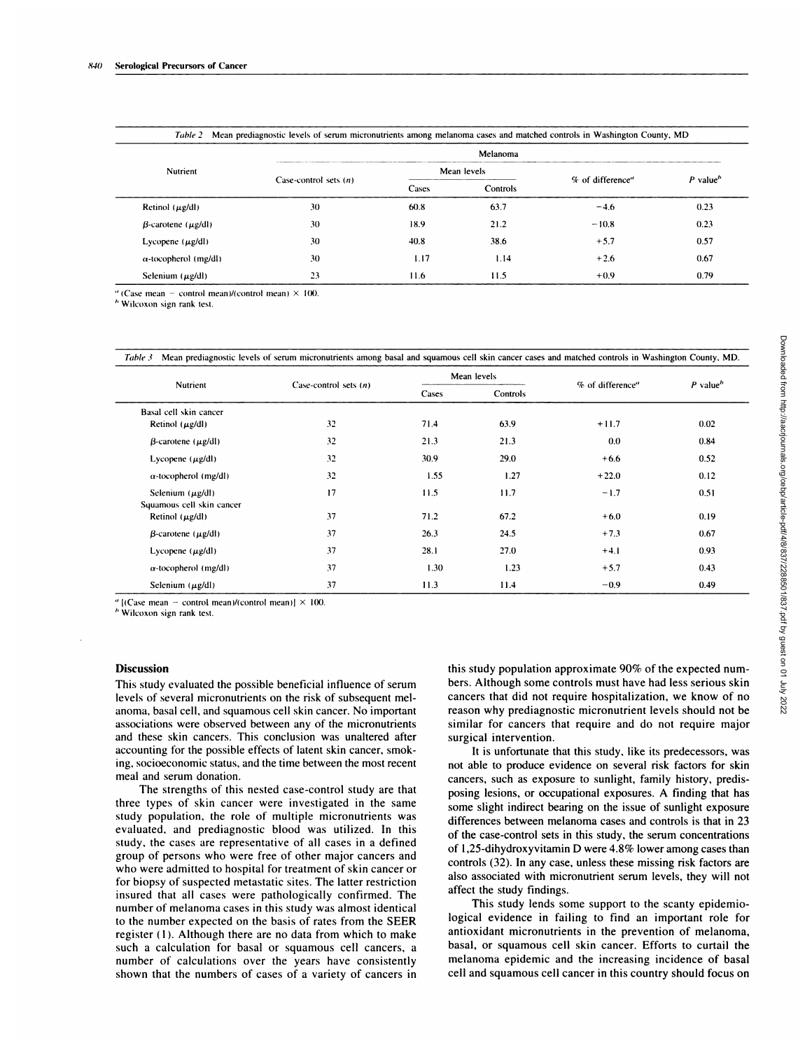| Nutrient                        | Melanoma                |       |          |                  |                                     |  |  |
|---------------------------------|-------------------------|-------|----------|------------------|-------------------------------------|--|--|
|                                 | Mean levels             |       |          |                  |                                     |  |  |
|                                 | Case-control sets $(n)$ | Cases | Controls | % of difference" | $P$ value <sup><math>b</math></sup> |  |  |
| Retinol $(\mu g/d)$             | 30                      | 60.8  | 63.7     | $-4.6$           | 0.23                                |  |  |
| $\beta$ -carotene ( $\mu$ g/dl) | 30                      | 18.9  | 21.2     | $-10.8$          | 0.23                                |  |  |
| Lycopene $(\mu g/dl)$           | 30                      | 40.8  | 38.6     | $+5.7$           | 0.57                                |  |  |
| $\alpha$ -tocopherol (mg/dl)    | 30                      | 1.17  | 1.14     | $+2.6$           | 0.67                                |  |  |
| Selenium $(\mu g/d)$            | 23                      | 11.6  | 11.5     | $+0.9$           | 0.79                                |  |  |

*Table 2* Mean prediagnostic levels of serum micronutrients among melanoma cases and matched controls in Washington County, MD

 $^{\prime\prime}$  (Case mean - control mean)/(control mean)  $\times$  100.

**I,** Wilcoxon sign rank test.

| Case-control sets $(n)$<br>32<br>32<br>32<br>32<br>17<br>37<br>37<br>37<br>37<br>37<br>[(Case mean – control mean)/(control mean)] $\times$ 100.<br>This study evaluated the possible beneficial influence of serum                                               | Cases<br>71.4<br>21.3<br>30.9<br>1.55<br>11.5<br>71.2<br>26.3<br>28.1<br>1.30<br>11.3<br>bers. Although some controls must have had less serious skin | Controls<br>63.9<br>21.3<br>29.0<br>1.27<br>11.7<br>67.2<br>24.5<br>27.0<br>1.23<br>11.4                                                                                                                                                                                                                                                                                                                                                                                                                                                                                         | % of difference"<br>$+11.7$<br>0.0<br>$+6.6$<br>$+22.0$<br>$-1.7$<br>$+6.0$<br>$+7.3$<br>$+4.1$<br>$+5.7$<br>$-0.9$<br>this study population approximate 90% of the expected num-                                                                                  | $P$ value <sup>b</sup><br>0.02<br>0.84<br>0.52<br>0.12<br>0.51<br>0.19<br>0.67<br>0.93<br>0.43<br>0.49                                                                                                                                                                                                                                                                                                                                                                                                                                                                                                                                                                       |
|-------------------------------------------------------------------------------------------------------------------------------------------------------------------------------------------------------------------------------------------------------------------|-------------------------------------------------------------------------------------------------------------------------------------------------------|----------------------------------------------------------------------------------------------------------------------------------------------------------------------------------------------------------------------------------------------------------------------------------------------------------------------------------------------------------------------------------------------------------------------------------------------------------------------------------------------------------------------------------------------------------------------------------|--------------------------------------------------------------------------------------------------------------------------------------------------------------------------------------------------------------------------------------------------------------------|------------------------------------------------------------------------------------------------------------------------------------------------------------------------------------------------------------------------------------------------------------------------------------------------------------------------------------------------------------------------------------------------------------------------------------------------------------------------------------------------------------------------------------------------------------------------------------------------------------------------------------------------------------------------------|
|                                                                                                                                                                                                                                                                   |                                                                                                                                                       |                                                                                                                                                                                                                                                                                                                                                                                                                                                                                                                                                                                  |                                                                                                                                                                                                                                                                    |                                                                                                                                                                                                                                                                                                                                                                                                                                                                                                                                                                                                                                                                              |
|                                                                                                                                                                                                                                                                   |                                                                                                                                                       |                                                                                                                                                                                                                                                                                                                                                                                                                                                                                                                                                                                  |                                                                                                                                                                                                                                                                    |                                                                                                                                                                                                                                                                                                                                                                                                                                                                                                                                                                                                                                                                              |
|                                                                                                                                                                                                                                                                   |                                                                                                                                                       |                                                                                                                                                                                                                                                                                                                                                                                                                                                                                                                                                                                  |                                                                                                                                                                                                                                                                    |                                                                                                                                                                                                                                                                                                                                                                                                                                                                                                                                                                                                                                                                              |
|                                                                                                                                                                                                                                                                   |                                                                                                                                                       |                                                                                                                                                                                                                                                                                                                                                                                                                                                                                                                                                                                  |                                                                                                                                                                                                                                                                    |                                                                                                                                                                                                                                                                                                                                                                                                                                                                                                                                                                                                                                                                              |
|                                                                                                                                                                                                                                                                   |                                                                                                                                                       |                                                                                                                                                                                                                                                                                                                                                                                                                                                                                                                                                                                  |                                                                                                                                                                                                                                                                    |                                                                                                                                                                                                                                                                                                                                                                                                                                                                                                                                                                                                                                                                              |
|                                                                                                                                                                                                                                                                   |                                                                                                                                                       |                                                                                                                                                                                                                                                                                                                                                                                                                                                                                                                                                                                  |                                                                                                                                                                                                                                                                    |                                                                                                                                                                                                                                                                                                                                                                                                                                                                                                                                                                                                                                                                              |
|                                                                                                                                                                                                                                                                   |                                                                                                                                                       |                                                                                                                                                                                                                                                                                                                                                                                                                                                                                                                                                                                  |                                                                                                                                                                                                                                                                    |                                                                                                                                                                                                                                                                                                                                                                                                                                                                                                                                                                                                                                                                              |
|                                                                                                                                                                                                                                                                   |                                                                                                                                                       |                                                                                                                                                                                                                                                                                                                                                                                                                                                                                                                                                                                  |                                                                                                                                                                                                                                                                    |                                                                                                                                                                                                                                                                                                                                                                                                                                                                                                                                                                                                                                                                              |
|                                                                                                                                                                                                                                                                   |                                                                                                                                                       |                                                                                                                                                                                                                                                                                                                                                                                                                                                                                                                                                                                  |                                                                                                                                                                                                                                                                    |                                                                                                                                                                                                                                                                                                                                                                                                                                                                                                                                                                                                                                                                              |
|                                                                                                                                                                                                                                                                   |                                                                                                                                                       |                                                                                                                                                                                                                                                                                                                                                                                                                                                                                                                                                                                  |                                                                                                                                                                                                                                                                    |                                                                                                                                                                                                                                                                                                                                                                                                                                                                                                                                                                                                                                                                              |
|                                                                                                                                                                                                                                                                   |                                                                                                                                                       |                                                                                                                                                                                                                                                                                                                                                                                                                                                                                                                                                                                  |                                                                                                                                                                                                                                                                    |                                                                                                                                                                                                                                                                                                                                                                                                                                                                                                                                                                                                                                                                              |
|                                                                                                                                                                                                                                                                   |                                                                                                                                                       |                                                                                                                                                                                                                                                                                                                                                                                                                                                                                                                                                                                  |                                                                                                                                                                                                                                                                    |                                                                                                                                                                                                                                                                                                                                                                                                                                                                                                                                                                                                                                                                              |
| issociations were observed between any of the micronutrients<br>and these skin cancers. This conclusion was unaltered after<br>accounting for the possible effects of latent skin cancer, smok-<br>ng, socioeconomic status, and the time between the most recent |                                                                                                                                                       | surgical intervention.                                                                                                                                                                                                                                                                                                                                                                                                                                                                                                                                                           | similar for cancers that require and do not require major<br>It is unfortunate that this study, like its predecessors, was<br>not able to produce evidence on several risk factors for skin                                                                        |                                                                                                                                                                                                                                                                                                                                                                                                                                                                                                                                                                                                                                                                              |
| The strengths of this nested case-control study are that<br>hree types of skin cancer were investigated in the same<br>study population, the role of multiple micronutrients was<br>evaluated, and prediagnostic blood was utilized. In this                      |                                                                                                                                                       |                                                                                                                                                                                                                                                                                                                                                                                                                                                                                                                                                                                  | cancers, such as exposure to sunlight, family history, predis-<br>posing lesions, or occupational exposures. A finding that has<br>some slight indirect bearing on the issue of sunlight exposure<br>differences between melanoma cases and controls is that in 23 |                                                                                                                                                                                                                                                                                                                                                                                                                                                                                                                                                                                                                                                                              |
|                                                                                                                                                                                                                                                                   |                                                                                                                                                       | study, the cases are representative of all cases in a defined<br>group of persons who were free of other major cancers and<br>who were admitted to hospital for treatment of skin cancer or<br>or biopsy of suspected metastatic sites. The latter restriction<br>nsured that all cases were pathologically confirmed. The<br>number of melanoma cases in this study was almost identical<br>o the number expected on the basis of rates from the SEER<br>egister (1). Although there are no data from which to make<br>such a calculation for basal or squamous cell cancers, a |                                                                                                                                                                                                                                                                    | of the case-control sets in this study, the serum concentrations<br>of 1,25-dihydroxyvitamin D were 4.8% lower among cases than<br>controls (32). In any case, unless these missing risk factors are<br>also associated with micronutrient serum levels, they will not<br>affect the study findings.<br>This study lends some support to the scanty epidemio-<br>logical evidence in failing to find an important role for<br>antioxidant micronutrients in the prevention of melanoma,<br>basal, or squamous cell skin cancer. Efforts to curtail the<br>melanoma epidemic and the increasing incidence of basal<br>number of calculations over the years have consistently |

*b* Wilcoxon sign rank test.

## **Discussion**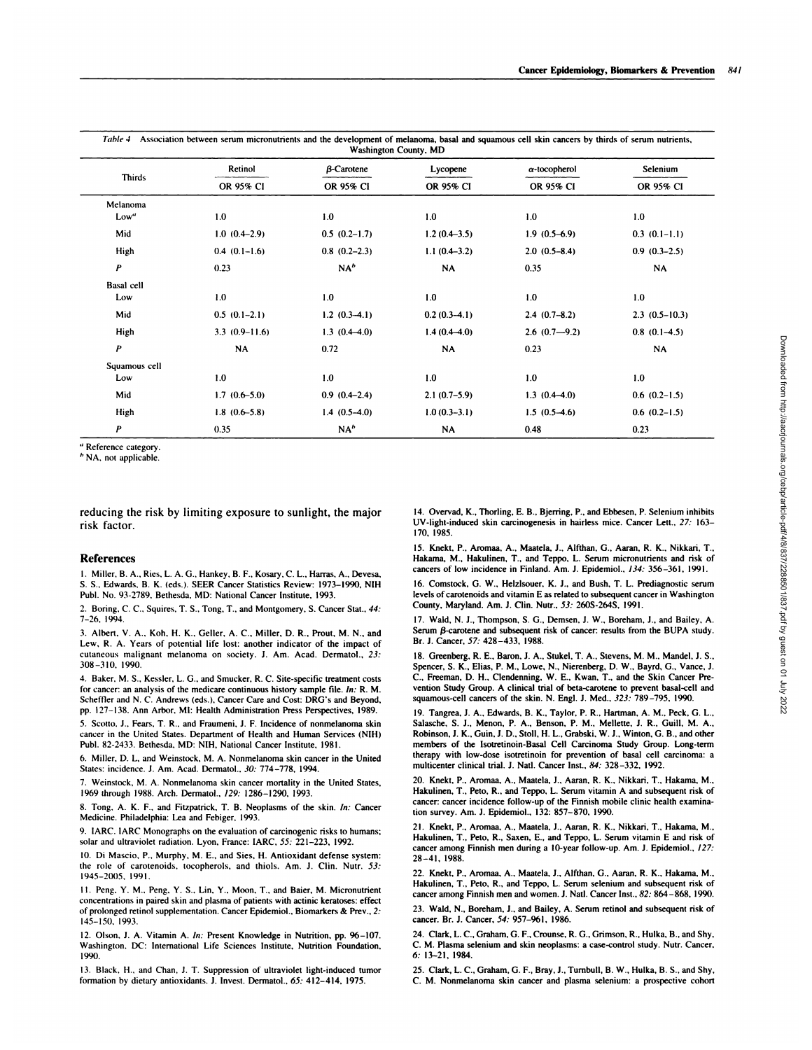| <b>Thirds</b>     | Retinol         | $\beta$ -Carotene | Lycopene       | $\alpha$ -tocopherol | Selenium        |
|-------------------|-----------------|-------------------|----------------|----------------------|-----------------|
|                   | OR 95% CI       | OR 95% CI         | OR 95% CI      | OR 95% CI            | OR 95% CI       |
| Melanoma          |                 |                   |                |                      |                 |
| Low"              | 1.0             | 1.0               | 1.0            | 1.0                  | 1.0             |
| Mid               | $1.0(0.4-2.9)$  | $0.5(0.2-1.7)$    | $1.2(0.4-3.5)$ | $1.9(0.5-6.9)$       | $0.3(0.1-1.1)$  |
| High              | $0.4(0.1-1.6)$  | $0.8$ $(0.2-2.3)$ | $1.1(0.4-3.2)$ | $2.0(0.5-8.4)$       | $0.9(0.3-2.5)$  |
| P                 | 0.23            | NA <sup>b</sup>   | NA             | 0.35                 | <b>NA</b>       |
| <b>Basal</b> cell |                 |                   |                |                      |                 |
| Low               | 1.0             | 1.0               | 1.0            | 1.0                  | 1.0             |
| Mid               | $0.5(0.1-2.1)$  | $1.2(0.3-4.1)$    | $0.2(0.3-4.1)$ | $2.4(0.7-8.2)$       | $2.3(0.5-10.3)$ |
| High              | $3.3(0.9-11.6)$ | $1.3(0.4-4.0)$    | $1.4(0.4-4.0)$ | $2.6(0.7-9.2)$       | $0.8$ (0.1–4.5) |
| P                 | <b>NA</b>       | 0.72              | NA             | 0.23                 | <b>NA</b>       |
| Squamous cell     |                 |                   |                |                      |                 |
| Low               | 1.0             | 1.0               | 1.0            | 1.0                  | 1.0             |
| Mid               | $1.7(0.6-5.0)$  | $0.9(0.4-2.4)$    | $2.1(0.7-5.9)$ | $1.3(0.4-4.0)$       | $0.6(0.2-1.5)$  |
| High              | $1.8(0.6-5.8)$  | $1.4(0.5-4.0)$    | $1.0(0.3-3.1)$ | $1.5(0.5-4.6)$       | $0.6(0.2-1.5)$  |
| P                 | 0.35            | NA''              | NA             | 0.48                 | 0.23            |

**,,** Reference category.

<sup>b</sup> NA, not applicable.

reducing the risk by limiting exposure to sunlight, the major risk factor.

#### **References**

1. Miller, B. A., Ries, L. A. G., Hankey, B. F., Kosary, C. L., Harras, A., Devesa, **S. S.. Edwards, B. K. (eds.). SEER Cancer Statistics Review: 1973-1990, NIH** PubI. No. 93-2789, Bethesda, MD: National Cancer Institute, 1993.

2. Boring. C. C.. Squires, T. **S., Tong, 1., and Montgomery, S. Cancer Stat.,** *44:* 7-26. 1994.

3. Albert, V. A.. Koh, H. K., Geller, A. C., Miller, D. R., Prout, M. N., and Lew, R. A. Years of potential life lost: another indicator of the impact of cutaneous malignant melanoma on society. J. Am. Acad. Dermatol., *23:* 308-310, 1990.

4. Baker. M. S., Kessler, L. G., and Smucker, R. C. Site-specific treatment costs for cancer: an analysis of the medicare continuous history sample file. *In:* **R. M.** Scheffler and N.C. Andrews (eds.), Cancer Care and Cost: DRG's and Beyond. pp. 127-138. Ann Arbor, Ml: Health Administration Press Perspectives, 1989.

5. Scotto. **J., Fears, T. R., and Fraumeni, J. F. Incidence of nonmelanoma skin** cancer in the United States. Department of Health and Human Services (NIH) PubI. 82-2433. Bethesda. MD: NIH, National Cancer Institute, 1981.

6. Miller, D. L, and Weinstock, M. A. Nonmelanoma skin cancer in the United States: incidence. J. Am. Acad. Dermatol., *30:* 774-778, 1994.

7. Weinstock, M. A. Nonmelanoma skin cancer mortality in the United States, 1969 through 1988. Arch. Dermatol., *129:* 1286-1290, 1993.

8. Tong. A. K. F.. and Fitzpatrick, T. B. Neoplasms of the skin. *In:* Cancer Medicine. Philadelphia: Lea and Febiger, 1993.

9. IARC. IARC Monographs on the evaluation of carcinogenic risks to humans: solar and ultraviolet radiation. Lyon, France: IARC, *55:* 221-223, 1992.

10. Di Mascio, P.. Murphy, M. E., and Sies, H. Antioxidant defense system: the role of carotenoids, tocopherols, and thiols. Am. J. Clin. Nutr. *53:* 1945-2005. 1991.

11. Peng, Y. M., Peng, Y. S., Lin, Y., Moon, T., and Baier, M. Micronutrient concentrations in paired skin and plasma of patients with actinic keratoses: effect of prolonged retinol supplementation. Cancer Epidemiol.. Biomarkers & Prey., *2:* 145-150, 1993.

12. Olson. **J. A.** Vitamin A. *In:* Present Knowledge in Nutrition. **pp. 96-107.** Washington. DC: International Life Sciences Institute, Nutrition Foundation. 1990.

13. Black, H., and Chan, J. T. Suppression of ultraviolet light-induced tumor formation by dietary antioxidants. J. Invest. Dermatol., *65:* 412-414, 1975.

14. Overvad, K., Thorling, E. B., Bjerring, P., and Ebbesen, P. Selenium inhibits UV-light-induced skin carcinogenesis in hairless mice. Cancer Lett., *27:* 163- 170, 1985.

**IS. Knekt, P.,** Amman, A., Maatela, J., Alfthan, G., Aaran, R. K., Nikkari, T., **Hakama, M., Hakulinen, 1., and Teppo, L. Serum inicronutnents and risk of**cancers of low incidence in Finland. Am. J. Epidemiol.. *134:* 356-361, 1991.

16. Comstock, 0. W., Helzlsouer, K. J., and **Bush, T. L. Prediagnostic** serum levels of carotenoids and vitamin E as related to subsequent cancer in Washington **County, Maryland. Am. J. Clin. Nutr.,** *53:* 260S-264S, 1991.

17. Wald, N. J., Thompson, S. G., Demsen, J. W., Boreham, J., and Bailey, A. **Serum 3-carotene and subsequent risk ofcancer: results from the BUPA study.Br. J. Cancer,** *57:* 428-433, 1988.

18. Greenberg. R. E., Baron, **J. A., Stukel, T. A., Stevens, M. M., Mandel, J. S.,** Spencer, S. K., Elias, P. M., Lowe, N., Nierenberg, D. W., Bayrd, G., Vance, **J. C., Freeman, D. H., Clendenning, W. E., Kwan, 1., and the Skin Cancer Pre** vention Study Group. A clinical trial of **beta-carotene to prevent basal-cell and** squamous-cell cancers of the skin. N. EngI. J. Med., *323:* 789-795, 1990.

19. Tangrea, J. A.. Edwards, B. K., Taylor. P. R., Hartman, A. M.. Peck, G. L., Salasche, **S. J., Menon, P. A., Benson, P. M., Mellette, J. R., Guill, M. A., Robinson, J. K., Gum, J. D., Stoll, H. L., Grabski, W. J., Winton, G. B., and other** members **of the Isotretinoin-Basal Cell Carcinoma Study Group. Long-term** therapy with low-dose isotretinoin for prevention of basal cell carcinoma: a multicenter clinical trial. J. NatI. Cancer Inst., *84:* 328-332, 1992.

20. Knekt. P., Aromaa, A., Maatela, **J., Aaran, R. K., Nikkari, 1., Hakama, M.,** Hakulinen, 1., Peto, R., and **Teppo, L. Serum vitamin A and subsequent risk of**cancer: cancer incidence follow-up of the Finnish mobile clinic health examination survey. Am. J. Epidemiol., 132: 857-870, 1990.

21. Knekt, **P.,** Amman, A., Maatela, J., Aaran, R. K., Nikkari, T., Hakama, M., Hakulinen, T., Peto, R., **Saxen, E., and Teppo, L.** Serum vitamin E **and risk of**cancer among Finnish men during a 10-year follow-up. Am. J. Epidemiol., *127:* 28-41, 1988.

22. Knekt, P., Aromaa, A.. **Maatela, J., Alfthan, G., Aaran, R. K., Hakama, M.,** Hakulinen, T., Peto, R., and Teppo, L. Serum selenium and subsequent risk of cancer among Finnish men and women. J. Nail. Cancer Inst., *82:* 864-868, 1990.

23. Wald, N., Boreham, J., and Bailey, A. Serum retinol and subsequent risk of **cancer. Br. J. Cancer,** *54:* 957-961, **1986.**

24. Clark, L. C., Graham, G. F., Crounse, R. 0., Grimson, R., Hulka, B., and Shy. **C. M. Plasma selenium and skin neopla.sms: a case-control study. Nutr. Cancer,** *6:* 13-21, 1984.

25. Clark, L. C., Graham, G. F., Bray, J., Turnbull, B. W., Hulka, B. S., and Shy, C. M. Nonmelanoma skin cancer and plasma selenium: a prospective cohort